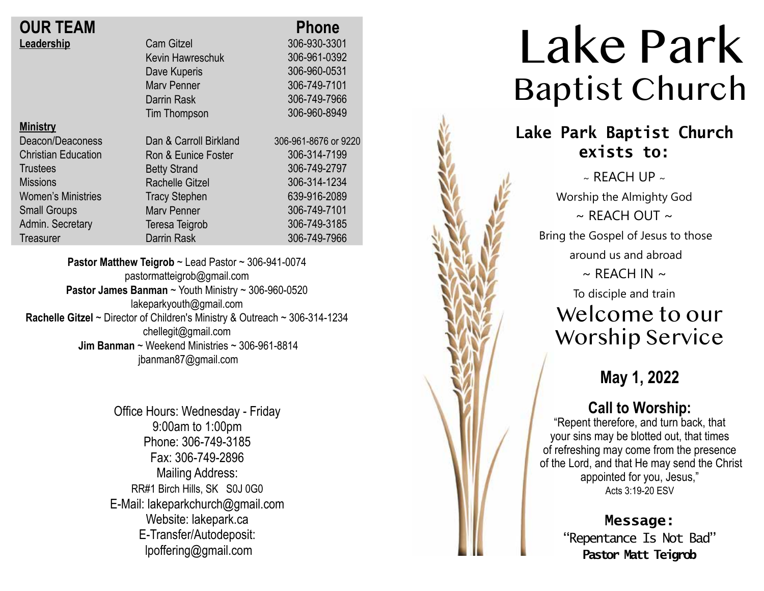| <b>OUR TEAM</b>            |                        | <b>Phone</b>         |
|----------------------------|------------------------|----------------------|
| Leadership                 | <b>Cam Gitzel</b>      | 306-930-3301         |
|                            | Kevin Hawreschuk       | 306-961-0392         |
|                            | Dave Kuperis           | 306-960-0531         |
|                            | <b>Mary Penner</b>     | 306-749-7101         |
|                            | Darrin Rask            | 306-749-7966         |
|                            | Tim Thompson           | 306-960-8949         |
| <b>Ministry</b>            |                        |                      |
| Deacon/Deaconess           | Dan & Carroll Birkland | 306-961-8676 or 9220 |
| <b>Christian Education</b> | Ron & Eunice Foster    | 306-314-7199         |
| <b>Trustees</b>            | <b>Betty Strand</b>    | 306-749-2797         |
| <b>Missions</b>            | <b>Rachelle Gitzel</b> | 306-314-1234         |
| <b>Women's Ministries</b>  | <b>Tracy Stephen</b>   | 639-916-2089         |
| <b>Small Groups</b>        | <b>Mary Penner</b>     | 306-749-7101         |
| Admin. Secretary           | Teresa Teigrob         | 306-749-3185         |
| Treasurer                  | <b>Darrin Rask</b>     | 306-749-7966         |
|                            |                        |                      |

**Pastor Matthew Teigrob** ~ Lead Pastor ~ 306-941-0074 pastormatteigrob@gmail.com **Pastor James Banman** ~ Youth Ministry ~ 306-960-0520 lakeparkyouth@gmail.com **Rachelle Gitzel** ~ Director of Children's Ministry & Outreach ~ 306-314-1234 chellegit@gmail.com  **Jim Banman** ~ Weekend Ministries ~ 306-961-8814 jbanman87@gmail.com

> Office Hours: Wednesday - Friday 9:00am to 1:00pm Phone: 306-749-3185 Fax: 306-749-2896 Mailing Address: RR#1 Birch Hills, SK S0J 0G0 E-Mail: lakeparkchurch@gmail.com Website: lakepark.ca E-Transfer/Autodeposit: lpoffering@gmail.com